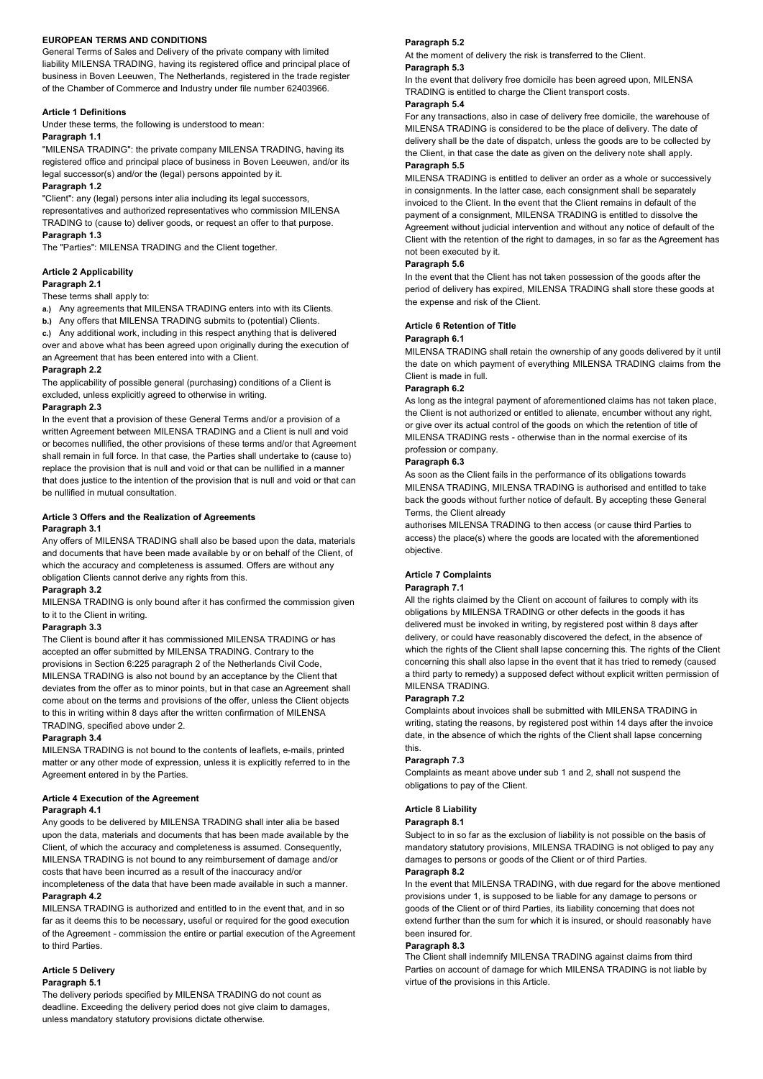## EUROPEAN TERMS AND CONDITIONS

General Terms of Sales and Delivery of the private company with limited liability MILENSA TRADING, having its registered office and principal place of business in Boven Leeuwen, The Netherlands, registered in the trade register of the Chamber of Commerce and Industry under file number 62403966.

## Article 1 Definitions

Under these terms, the following is understood to mean:

# Paragraph 1.1

"MILENSA TRADING": the private company MILENSA TRADING, having its registered office and principal place of business in Boven Leeuwen, and/or its legal successor(s) and/or the (legal) persons appointed by it.

## Paragraph 1.2

"Client": any (legal) persons inter alia including its legal successors, representatives and authorized representatives who commission MILENSA TRADING to (cause to) deliver goods, or request an offer to that purpose. Paragraph 1.3

The "Parties": MILENSA TRADING and the Client together.

# Article 2 Applicability

## Paragraph 2.1

These terms shall apply to:

- a.) Any agreements that MILENSA TRADING enters into with its Clients.
- b.) Any offers that MILENSA TRADING submits to (potential) Clients.

c.) Any additional work, including in this respect anything that is delivered over and above what has been agreed upon originally during the execution of an Agreement that has been entered into with a Client.

#### Paragraph 2.2

The applicability of possible general (purchasing) conditions of a Client is excluded, unless explicitly agreed to otherwise in writing.

#### Paragraph 2.3

In the event that a provision of these General Terms and/or a provision of a written Agreement between MILENSA TRADING and a Client is null and void or becomes nullified, the other provisions of these terms and/or that Agreement shall remain in full force. In that case, the Parties shall undertake to (cause to) replace the provision that is null and void or that can be nullified in a manner that does justice to the intention of the provision that is null and void or that can be nullified in mutual consultation.

## Article 3 Offers and the Realization of Agreements Paragraph 3.1

Any offers of MILENSA TRADING shall also be based upon the data, materials and documents that have been made available by or on behalf of the Client, of which the accuracy and completeness is assumed. Offers are without any obligation Clients cannot derive any rights from this.

# Paragraph 3.2

MILENSA TRADING is only bound after it has confirmed the commission given to it to the Client in writing.

#### Paragraph 3.3

The Client is bound after it has commissioned MILENSA TRADING or has accepted an offer submitted by MILENSA TRADING. Contrary to the provisions in Section 6:225 paragraph 2 of the Netherlands Civil Code, MILENSA TRADING is also not bound by an acceptance by the Client that deviates from the offer as to minor points, but in that case an Agreement shall come about on the terms and provisions of the offer, unless the Client objects to this in writing within 8 days after the written confirmation of MILENSA TRADING, specified above under 2.

# Paragraph 3.4

MILENSA TRADING is not bound to the contents of leaflets, e-mails, printed matter or any other mode of expression, unless it is explicitly referred to in the Agreement entered in by the Parties.

#### Article 4 Execution of the Agreement

# Paragraph 4.1

Any goods to be delivered by MILENSA TRADING shall inter alia be based upon the data, materials and documents that has been made available by the Client, of which the accuracy and completeness is assumed. Consequently, MILENSA TRADING is not bound to any reimbursement of damage and/or costs that have been incurred as a result of the inaccuracy and/or

incompleteness of the data that have been made available in such a manner. Paragraph 4.2

MILENSA TRADING is authorized and entitled to in the event that, and in so far as it deems this to be necessary, useful or required for the good execution of the Agreement - commission the entire or partial execution of the Agreement to third Parties.

# Article 5 Delivery

# Paragraph 5.1

The delivery periods specified by MILENSA TRADING do not count as deadline. Exceeding the delivery period does not give claim to damages, unless mandatory statutory provisions dictate otherwise.

#### Paragraph 5.2

Paragraph 5.3 At the moment of delivery the risk is transferred to the Client.

TRADING is entitled to charge the Client transport costs. In the event that delivery free domicile has been agreed upon, MILENSA

# Paragraph 5.4

Paragraph 5.5 the Client, in that case the date as given on the delivery note shall apply. delivery shall be the date of dispatch, unless the goods are to be collected by MILENSA TRADING is considered to be the place of delivery. The date of For any transactions, also in case of delivery free domicile, the warehouse of

not been executed by it. Client with the retention of the right to damages, in so far as the Agreement has Agreement without judicial intervention and without any notice of default of the payment of a consignment, MILENSA TRADING is entitled to dissolve the invoiced to the Client. In the event that the Client remains in default of the in consignments. In the latter case, each consignment shall be separately MILENSA TRADING is entitled to deliver an order as a whole or successively

#### Paragraph 5.6

the expense and risk of the Client. period of delivery has expired, MILENSA TRADING shall store these goods at In the event that the Client has not taken possession of the goods after the

#### Article 6 Retention of Title

#### Paragraph 6.1

Client is made in full. the date on which payment of everything MILENSA TRADING claims from the MILENSA TRADING shall retain the ownership of any goods delivered by it until

## Paragraph 6.2

profession or company. MILENSA TRADING rests - otherwise than in the normal exercise of its or give over its actual control of the goods on which the retention of title of the Client is not authorized or entitled to alienate, encumber without any right, As long as the integral payment of aforementioned claims has not taken place,

## Paragraph 6.3

Terms, the Client already back the goods without further notice of default. By accepting these General MILENSA TRADING, MILENSA TRADING is authorised and entitled to take As soon as the Client fails in the performance of its obligations towards

objective. access) the place(s) where the goods are located with the aforementioned authorises MILENSA TRADING to then access (or cause third Parties to

# Article 7 Complaints

#### Paragraph 7.1

MILENSA TRADING. a third party to remedy) a supposed defect without explicit written permission of concerning this shall also lapse in the event that it has tried to remedy (caused which the rights of the Client shall lapse concerning this. The rights of the Client delivery, or could have reasonably discovered the defect, in the absence of delivered must be invoked in writing, by registered post within 8 days after obligations by MILENSA TRADING or other defects in the goods it has All the rights claimed by the Client on account of failures to comply with its

#### Paragraph 7.2

this. date, in the absence of which the rights of the Client shall lapse concerning writing, stating the reasons, by registered post within 14 days after the invoice Complaints about invoices shall be submitted with MILENSA TRADING in

#### Paragraph 7.3

obligations to pay of the Client. Complaints as meant above under sub 1 and 2, shall not suspend the

# Article 8 Liability

#### Paragraph 8.1

damages to persons or goods of the Client or of third Parties. mandatory statutory provisions, MILENSA TRADING is not obliged to pay any Subject to in so far as the exclusion of liability is not possible on the basis of

#### Paragraph 8.2

been insured for. extend further than the sum for which it is insured, or should reasonably have goods of the Client or of third Parties, its liability concerning that does not provisions under 1, is supposed to be liable for any damage to persons or In the event that MILENSA TRADING, with due regard for the above mentioned

## Paragraph 8.3

virtue of the provisions in this Article. Parties on account of damage for which MILENSA TRADING is not liable by The Client shall indemnify MILENSA TRADING against claims from third